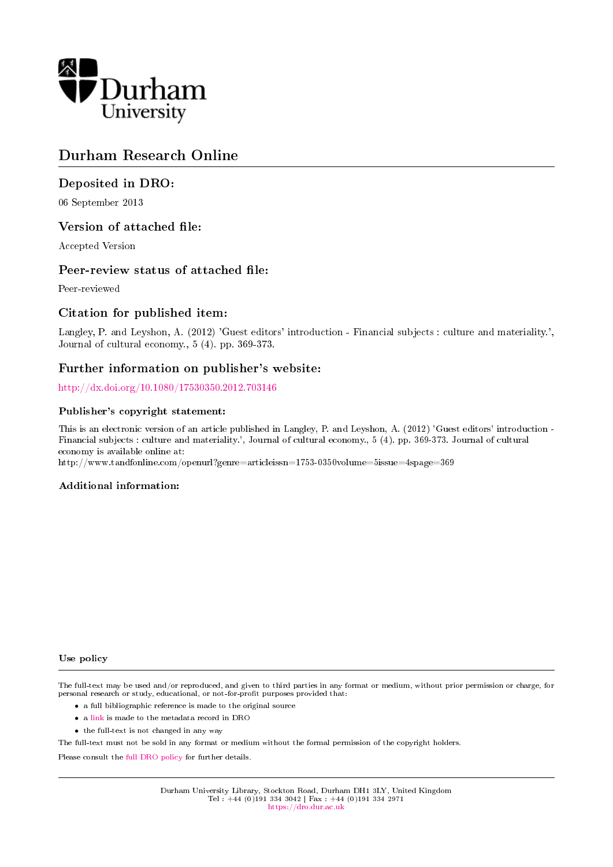

# Durham Research Online

### Deposited in DRO:

06 September 2013

### Version of attached file:

Accepted Version

### Peer-review status of attached file:

Peer-reviewed

### Citation for published item:

Langley, P. and Leyshon, A. (2012) 'Guest editors' introduction - Financial subjects : culture and materiality.', Journal of cultural economy., 5 (4). pp. 369-373.

### Further information on publisher's website:

<http://dx.doi.org/10.1080/17530350.2012.703146>

#### Publisher's copyright statement:

This is an electronic version of an article published in Langley, P. and Leyshon, A. (2012) 'Guest editors' introduction - Financial subjects : culture and materiality.', Journal of cultural economy., 5 (4). pp. 369-373. Journal of cultural economy is available online at:

http://www.tandfonline.com/openurl?genre=articleissn=1753-0350volume=5issue=4spage=369

#### Additional information:

#### Use policy

The full-text may be used and/or reproduced, and given to third parties in any format or medium, without prior permission or charge, for personal research or study, educational, or not-for-profit purposes provided that:

- a full bibliographic reference is made to the original source
- a [link](http://dro.dur.ac.uk/11331/) is made to the metadata record in DRO
- the full-text is not changed in any way

The full-text must not be sold in any format or medium without the formal permission of the copyright holders.

Please consult the [full DRO policy](https://dro.dur.ac.uk/policies/usepolicy.pdf) for further details.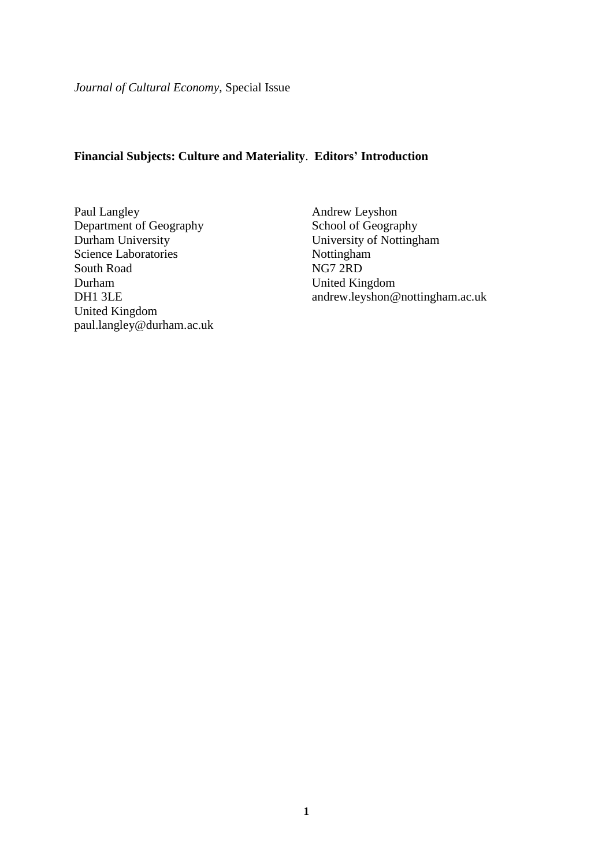*Journal of Cultural Economy*, Special Issue

## **Financial Subjects: Culture and Materiality**. **Editors' Introduction**

Paul Langley Department of Geography Durham University Science Laboratories South Road Durham DH1 3LE United Kingdom paul.langley@durham.ac.uk

Andrew Leyshon School of Geography University of Nottingham Nottingham NG7 2RD United Kingdom andrew.leyshon@nottingham.ac.uk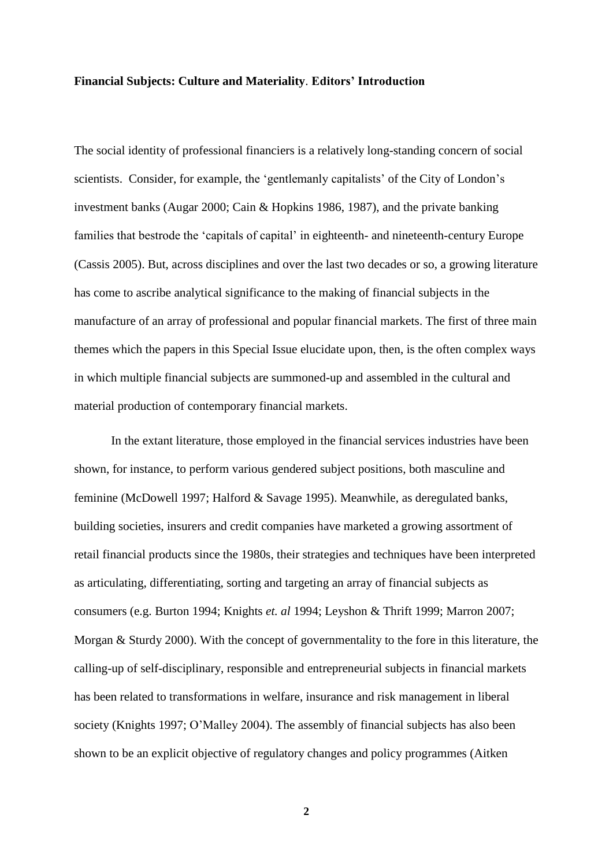#### **Financial Subjects: Culture and Materiality**. **Editors' Introduction**

The social identity of professional financiers is a relatively long-standing concern of social scientists. Consider, for example, the 'gentlemanly capitalists' of the City of London's investment banks (Augar 2000; Cain & Hopkins 1986, 1987), and the private banking families that bestrode the 'capitals of capital' in eighteenth- and nineteenth-century Europe (Cassis 2005). But, across disciplines and over the last two decades or so, a growing literature has come to ascribe analytical significance to the making of financial subjects in the manufacture of an array of professional and popular financial markets. The first of three main themes which the papers in this Special Issue elucidate upon, then, is the often complex ways in which multiple financial subjects are summoned-up and assembled in the cultural and material production of contemporary financial markets.

In the extant literature, those employed in the financial services industries have been shown, for instance, to perform various gendered subject positions, both masculine and feminine (McDowell 1997; Halford & Savage 1995). Meanwhile, as deregulated banks, building societies, insurers and credit companies have marketed a growing assortment of retail financial products since the 1980s, their strategies and techniques have been interpreted as articulating, differentiating, sorting and targeting an array of financial subjects as consumers (e.g. Burton 1994; Knights *et. al* 1994; Leyshon & Thrift 1999; Marron 2007; Morgan & Sturdy 2000). With the concept of governmentality to the fore in this literature, the calling-up of self-disciplinary, responsible and entrepreneurial subjects in financial markets has been related to transformations in welfare, insurance and risk management in liberal society (Knights 1997; O'Malley 2004). The assembly of financial subjects has also been shown to be an explicit objective of regulatory changes and policy programmes (Aitken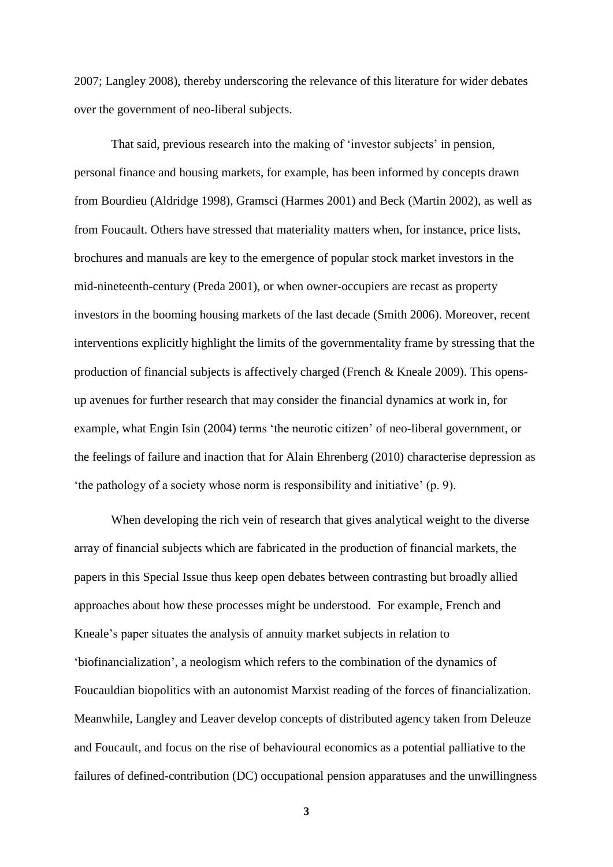2007; Langley 2008), thereby underscoring the relevance of this literature for wider debates over the government of neo-liberal subjects.

That said, previous research into the making of 'investor subjects' in pension, personal finance and housing markets, for example, has been informed by concepts drawn from Bourdieu (Aldridge 1998), Gramsci (Harmes 2001) and Beck (Martin 2002), as well as from Foucault. Others have stressed that materiality matters when, for instance, price lists, brochures and manuals are key to the emergence of popular stock market investors in the mid-nineteenth-century (Preda 2001), or when owner-occupiers are recast as property investors in the booming housing markets of the last decade (Smith 2006). Moreover, recent interventions explicitly highlight the limits of the governmentality frame by stressing that the production of financial subjects is affectively charged (French & Kneale 2009). This opensup avenues for further research that may consider the financial dynamics at work in, for example, what Engin Isin (2004) terms 'the neurotic citizen' of neo-liberal government, or the feelings of failure and inaction that for Alain Ehrenberg (2010) characterise depression as 'the pathology of a society whose norm is responsibility and initiative' (p. 9).

When developing the rich vein of research that gives analytical weight to the diverse array of financial subjects which are fabricated in the production of financial markets, the papers in this Special Issue thus keep open debates between contrasting but broadly allied approaches about how these processes might be understood. For example, French and Kneale's paper situates the analysis of annuity market subjects in relation to 'biofinancialization', a neologism which refers to the combination of the dynamics of Foucauldian biopolitics with an autonomist Marxist reading of the forces of financialization. Meanwhile, Langley and Leaver develop concepts of distributed agency taken from Deleuze and Foucault, and focus on the rise of behavioural economics as a potential palliative to the failures of defined-contribution (DC) occupational pension apparatuses and the unwillingness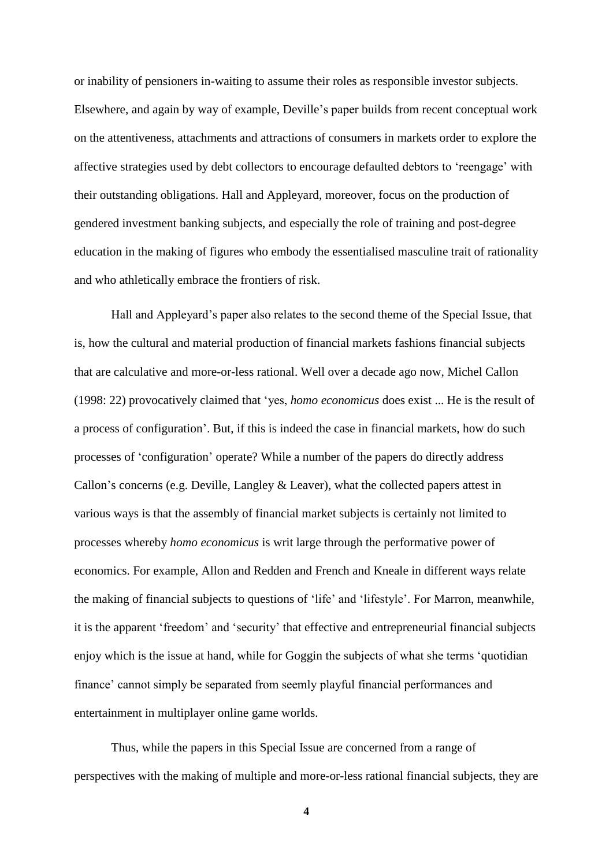or inability of pensioners in-waiting to assume their roles as responsible investor subjects. Elsewhere, and again by way of example, Deville's paper builds from recent conceptual work on the attentiveness, attachments and attractions of consumers in markets order to explore the affective strategies used by debt collectors to encourage defaulted debtors to 'reengage' with their outstanding obligations. Hall and Appleyard, moreover, focus on the production of gendered investment banking subjects, and especially the role of training and post-degree education in the making of figures who embody the essentialised masculine trait of rationality and who athletically embrace the frontiers of risk.

Hall and Appleyard's paper also relates to the second theme of the Special Issue, that is, how the cultural and material production of financial markets fashions financial subjects that are calculative and more-or-less rational. Well over a decade ago now, Michel Callon (1998: 22) provocatively claimed that 'yes, *homo economicus* does exist ... He is the result of a process of configuration'. But, if this is indeed the case in financial markets, how do such processes of 'configuration' operate? While a number of the papers do directly address Callon's concerns (e.g. Deville, Langley & Leaver), what the collected papers attest in various ways is that the assembly of financial market subjects is certainly not limited to processes whereby *homo economicus* is writ large through the performative power of economics. For example, Allon and Redden and French and Kneale in different ways relate the making of financial subjects to questions of 'life' and 'lifestyle'. For Marron, meanwhile, it is the apparent 'freedom' and 'security' that effective and entrepreneurial financial subjects enjoy which is the issue at hand, while for Goggin the subjects of what she terms 'quotidian finance' cannot simply be separated from seemly playful financial performances and entertainment in multiplayer online game worlds.

Thus, while the papers in this Special Issue are concerned from a range of perspectives with the making of multiple and more-or-less rational financial subjects, they are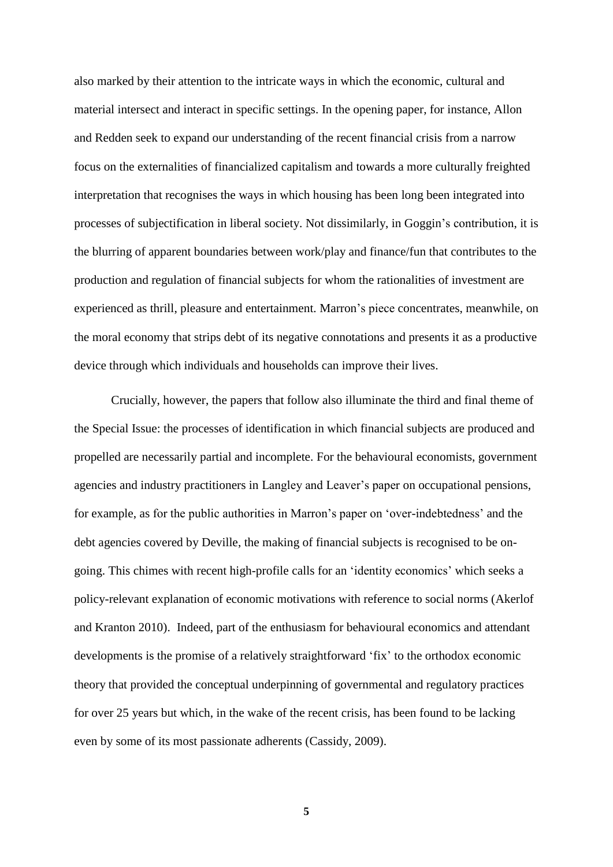also marked by their attention to the intricate ways in which the economic, cultural and material intersect and interact in specific settings. In the opening paper, for instance, Allon and Redden seek to expand our understanding of the recent financial crisis from a narrow focus on the externalities of financialized capitalism and towards a more culturally freighted interpretation that recognises the ways in which housing has been long been integrated into processes of subjectification in liberal society. Not dissimilarly, in Goggin's contribution, it is the blurring of apparent boundaries between work/play and finance/fun that contributes to the production and regulation of financial subjects for whom the rationalities of investment are experienced as thrill, pleasure and entertainment. Marron's piece concentrates, meanwhile, on the moral economy that strips debt of its negative connotations and presents it as a productive device through which individuals and households can improve their lives.

Crucially, however, the papers that follow also illuminate the third and final theme of the Special Issue: the processes of identification in which financial subjects are produced and propelled are necessarily partial and incomplete. For the behavioural economists, government agencies and industry practitioners in Langley and Leaver's paper on occupational pensions, for example, as for the public authorities in Marron's paper on 'over-indebtedness' and the debt agencies covered by Deville, the making of financial subjects is recognised to be ongoing. This chimes with recent high-profile calls for an 'identity economics' which seeks a policy-relevant explanation of economic motivations with reference to social norms (Akerlof and Kranton 2010). Indeed, part of the enthusiasm for behavioural economics and attendant developments is the promise of a relatively straightforward 'fix' to the orthodox economic theory that provided the conceptual underpinning of governmental and regulatory practices for over 25 years but which, in the wake of the recent crisis, has been found to be lacking even by some of its most passionate adherents (Cassidy, 2009).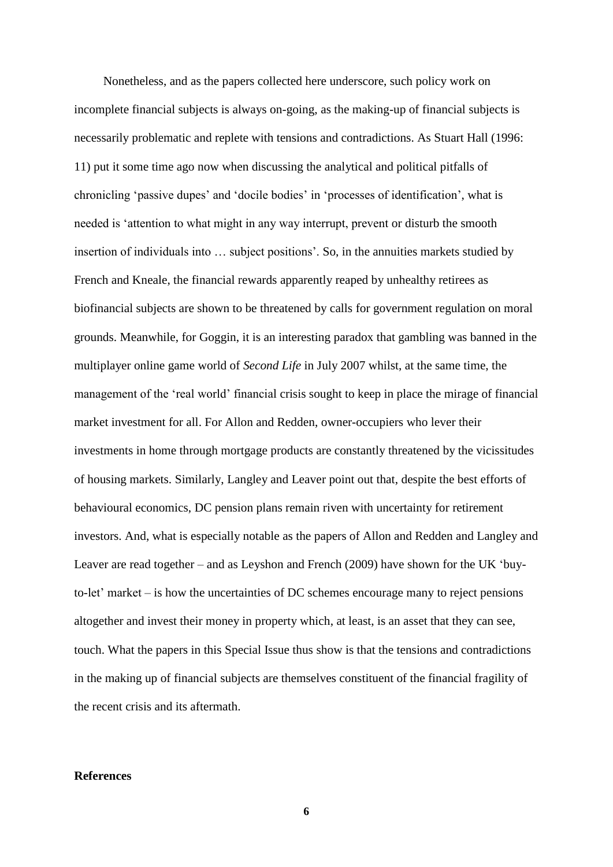Nonetheless, and as the papers collected here underscore, such policy work on incomplete financial subjects is always on-going, as the making-up of financial subjects is necessarily problematic and replete with tensions and contradictions. As Stuart Hall (1996: 11) put it some time ago now when discussing the analytical and political pitfalls of chronicling 'passive dupes' and 'docile bodies' in 'processes of identification', what is needed is 'attention to what might in any way interrupt, prevent or disturb the smooth insertion of individuals into … subject positions'. So, in the annuities markets studied by French and Kneale, the financial rewards apparently reaped by unhealthy retirees as biofinancial subjects are shown to be threatened by calls for government regulation on moral grounds. Meanwhile, for Goggin, it is an interesting paradox that gambling was banned in the multiplayer online game world of *Second Life* in July 2007 whilst, at the same time, the management of the 'real world' financial crisis sought to keep in place the mirage of financial market investment for all. For Allon and Redden, owner-occupiers who lever their investments in home through mortgage products are constantly threatened by the vicissitudes of housing markets. Similarly, Langley and Leaver point out that, despite the best efforts of behavioural economics, DC pension plans remain riven with uncertainty for retirement investors. And, what is especially notable as the papers of Allon and Redden and Langley and Leaver are read together – and as Leyshon and French (2009) have shown for the UK 'buyto-let' market – is how the uncertainties of DC schemes encourage many to reject pensions altogether and invest their money in property which, at least, is an asset that they can see, touch. What the papers in this Special Issue thus show is that the tensions and contradictions in the making up of financial subjects are themselves constituent of the financial fragility of the recent crisis and its aftermath.

### **References**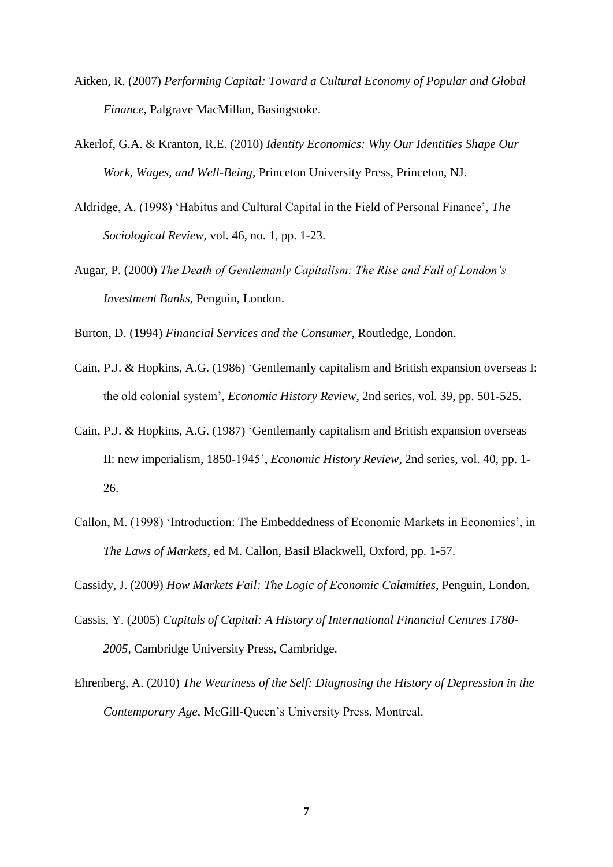- Aitken, R. (2007) *Performing Capital: Toward a Cultural Economy of Popular and Global Finance*, Palgrave MacMillan, Basingstoke.
- Akerlof, G.A. & Kranton, R.E. (2010) *Identity Economics: Why Our Identities Shape Our Work, Wages, and Well-Being*, Princeton University Press, Princeton, NJ.
- Aldridge, A. (1998) 'Habitus and Cultural Capital in the Field of Personal Finance', *The Sociological Review*, vol. 46, no. 1, pp. 1-23.
- Augar, P. (2000) *The Death of Gentlemanly Capitalism: The Rise and Fall of London's Investment Banks*, Penguin, London.

Burton, D. (1994) *Financial Services and the Consumer*, Routledge, London.

- Cain, P.J. & Hopkins, A.G. (1986) 'Gentlemanly capitalism and British expansion overseas I: the old colonial system', *Economic History Review*, 2nd series, vol. 39, pp. 501-525.
- Cain, P.J. & Hopkins, A.G. (1987) 'Gentlemanly capitalism and British expansion overseas II: new imperialism, 1850-1945', *Economic History Review*, 2nd series, vol. 40, pp. 1- 26.
- Callon, M. (1998) 'Introduction: The Embeddedness of Economic Markets in Economics', in *The Laws of Markets,* ed M. Callon, Basil Blackwell, Oxford, pp. 1-57.

Cassidy, J. (2009) *How Markets Fail: The Logic of Economic Calamities*, Penguin, London.

- Cassis, Y. (2005) *Capitals of Capital: A History of International Financial Centres 1780- 2005*, Cambridge University Press, Cambridge.
- Ehrenberg, A. (2010) *The Weariness of the Self: Diagnosing the History of Depression in the Contemporary Age*, McGill-Queen's University Press, Montreal.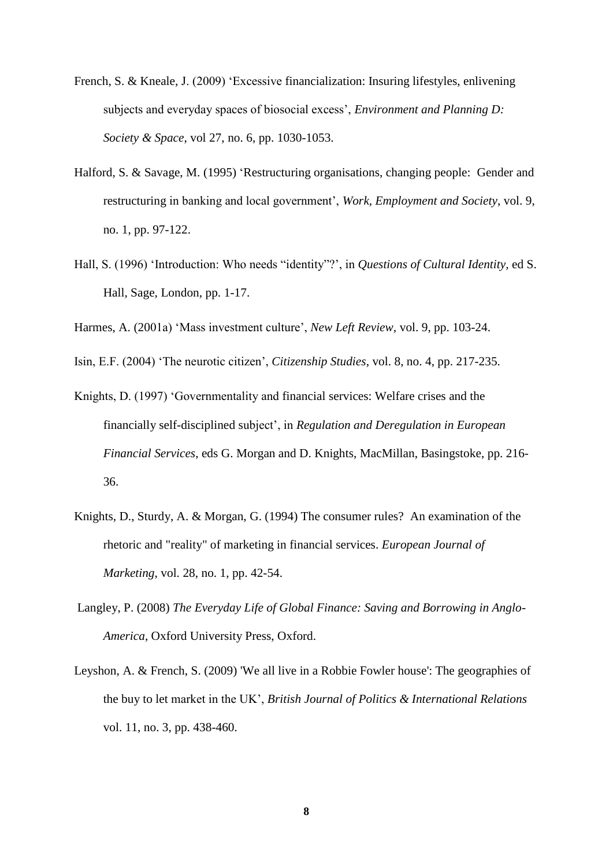- French, S. & Kneale, J. (2009) 'Excessive financialization: Insuring lifestyles, enlivening subjects and everyday spaces of biosocial excess', *Environment and Planning D: Society & Space*, vol 27, no. 6, pp. 1030-1053.
- Halford, S. & Savage, M. (1995) 'Restructuring organisations, changing people: Gender and restructuring in banking and local government', *Work, Employment and Society*, vol. 9, no. 1, pp. 97-122.
- Hall, S. (1996) 'Introduction: Who needs "identity"?', in *Questions of Cultural Identity,* ed S. Hall, Sage, London, pp. 1-17.

Harmes, A. (2001a) 'Mass investment culture', *New Left Review,* vol. 9, pp. 103-24.

Isin, E.F. (2004) 'The neurotic citizen', *Citizenship Studies*, vol. 8, no. 4, pp. 217-235.

- Knights, D. (1997) 'Governmentality and financial services: Welfare crises and the financially self-disciplined subject', in *Regulation and Deregulation in European Financial Services*, eds G. Morgan and D. Knights, MacMillan, Basingstoke, pp. 216- 36.
- Knights, D., Sturdy, A. & Morgan, G. (1994) The consumer rules? An examination of the rhetoric and "reality" of marketing in financial services. *European Journal of Marketing*, vol. 28, no. 1, pp. 42-54.
- Langley, P. (2008) *The Everyday Life of Global Finance: Saving and Borrowing in Anglo-America*, Oxford University Press, Oxford.
- Leyshon, A. & French, S. (2009) 'We all live in a Robbie Fowler house': The geographies of the buy to let market in the UK', *British Journal of Politics & International Relations* vol. 11, no. 3, pp. 438-460.